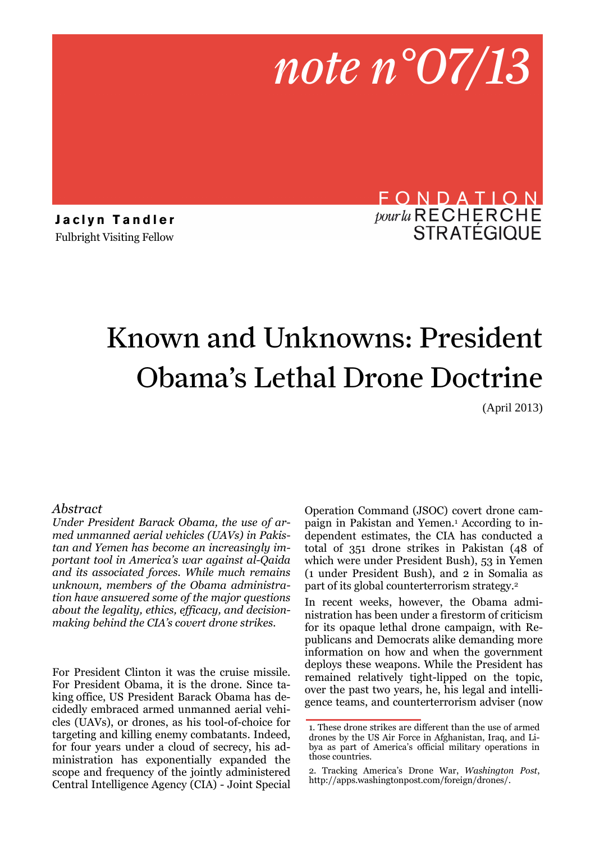

**J a c l y n T a n d l e r**  Fulbright Visiting Fellow

# FONDATION pour la RECHERCHE **STRATÉGIQUE**

# Known and Unknowns: President Obama's Lethal Drone Doctrine

(April 2013)

#### *Abstract*

*Under President Barack Obama, the use of armed unmanned aerial vehicles (UAVs) in Pakistan and Yemen has become an increasingly important tool in America's war against al-Qaida and its associated forces. While much remains unknown, members of the Obama administration have answered some of the major questions about the legality, ethics, efficacy, and decisionmaking behind the CIA's covert drone strikes.* 

For President Clinton it was the cruise missile. For President Obama, it is the drone. Since taking office, US President Barack Obama has decidedly embraced armed unmanned aerial vehicles (UAVs), or drones, as his tool-of-choice for targeting and killing enemy combatants. Indeed, for four years under a cloud of secrecy, his administration has exponentially expanded the scope and frequency of the jointly administered Central Intelligence Agency (CIA) - Joint Special

Operation Command (JSOC) covert drone campaign in Pakistan and Yemen.<sup>1</sup> According to independent estimates, the CIA has conducted a total of 351 drone strikes in Pakistan (48 of which were under President Bush), 53 in Yemen (1 under President Bush), and 2 in Somalia as part of its global counterterrorism strategy.<sup>2</sup>

In recent weeks, however, the Obama administration has been under a firestorm of criticism for its opaque lethal drone campaign, with Republicans and Democrats alike demanding more information on how and when the government deploys these weapons. While the President has remained relatively tight-lipped on the topic, over the past two years, he, his legal and intelligence teams, and counterterrorism adviser (now

<sup>1.</sup> These drone strikes are different than the use of armed drones by the US Air Force in Afghanistan, Iraq, and Libya as part of America's official military operations in those countries.

<sup>2.</sup> Tracking America's Drone War, *Washington Post*, http://apps.washingtonpost.com/foreign/drones/.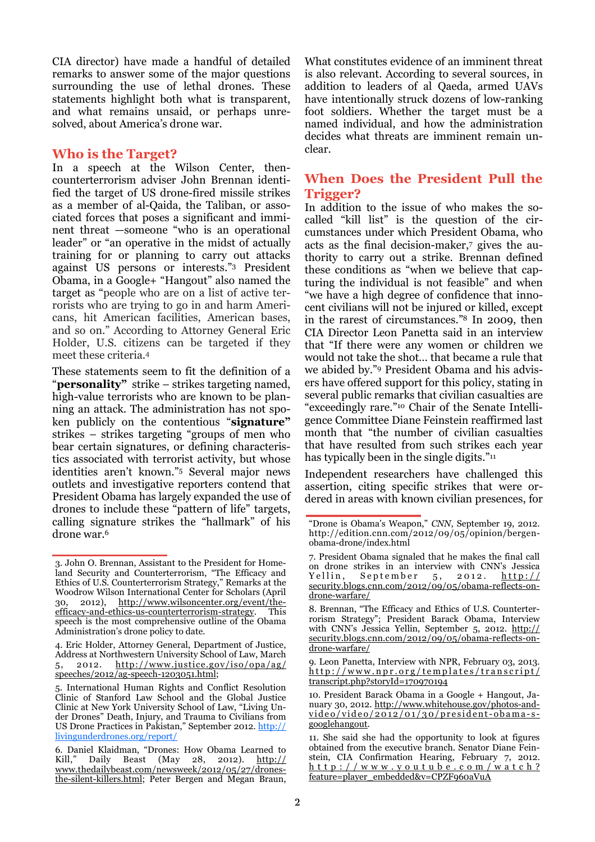CIA director) have made a handful of detailed remarks to answer some of the major questions surrounding the use of lethal drones. These statements highlight both what is transparent, and what remains unsaid, or perhaps unresolved, about America's drone war.

#### **Who is the Target?**

In a speech at the Wilson Center, thencounterterrorism adviser John Brennan identified the target of US drone-fired missile strikes as a member of al-Qaida, the Taliban, or associated forces that poses a significant and imminent threat —someone "who is an operational leader" or "an operative in the midst of actually training for or planning to carry out attacks against US persons or interests."3 President Obama, in a Google+ "Hangout" also named the target as "people who are on a list of active terrorists who are trying to go in and harm Americans, hit American facilities, American bases, and so on." According to Attorney General Eric Holder, U.S. citizens can be targeted if they meet these criteria.<sup>4</sup>

These statements seem to fit the definition of a "**personality"** strike – strikes targeting named, high-value terrorists who are known to be planning an attack. The administration has not spoken publicly on the contentious "**signature"**  strikes – strikes targeting "groups of men who bear certain signatures, or defining characteristics associated with terrorist activity, but whose identities aren't known."5 Several major news outlets and investigative reporters contend that President Obama has largely expanded the use of drones to include these "pattern of life" targets, calling signature strikes the "hallmark" of his drone war.<sup>6</sup>

What constitutes evidence of an imminent threat is also relevant. According to several sources, in addition to leaders of al Qaeda, armed UAVs have intentionally struck dozens of low-ranking foot soldiers. Whether the target must be a named individual, and how the administration decides what threats are imminent remain unclear.

## **When Does the President Pull the Trigger?**

In addition to the issue of who makes the socalled "kill list" is the question of the circumstances under which President Obama, who acts as the final decision-maker,<sup>7</sup> gives the authority to carry out a strike. Brennan defined these conditions as "when we believe that capturing the individual is not feasible" and when "we have a high degree of confidence that innocent civilians will not be injured or killed, except in the rarest of circumstances."8 In 2009, then CIA Director Leon Panetta said in an interview that "If there were any women or children we would not take the shot… that became a rule that we abided by."9 President Obama and his advisers have offered support for this policy, stating in several public remarks that civilian casualties are "exceedingly rare."10 Chair of the Senate Intelligence Committee Diane Feinstein reaffirmed last month that "the number of civilian casualties that have resulted from such strikes each year has typically been in the single digits."<sup>11</sup>

Independent researchers have challenged this assertion, citing specific strikes that were ordered in areas with known civilian presences, for

<sup>3.</sup> John O. Brennan, Assistant to the President for Homeland Security and Counterterrorism, "The Efficacy and Ethics of U.S. Counterterrorism Strategy," Remarks at the Woodrow Wilson International Center for Scholars (April 30, 2012), http://www.wilsoncenter.org/event/theefficacy-and-ethics-us-counterterrorism-strategy. This speech is the most comprehensive outline of the Obama Administration's drone policy to date.

<sup>4.</sup> Eric Holder, Attorney General, Department of Justice, Address at Northwestern University School of Law, March 5, 2012. http://www.justice.gov/iso/opa/ag/ speeches/2012/ag-speech-1203051.html;

<sup>5.</sup> International Human Rights and Conflict Resolution Clinic of Stanford Law School and the Global Justice Clinic at New York University School of Law, "Living Under Drones" Death, Injury, and Trauma to Civilians from US Drone Practices in Pakistan," September 2012. http:// livingunderdrones.org/report/

<sup>6.</sup> Daniel Klaidman, "Drones: How Obama Learned to Kill," Daily Beast (May 28, 2012). http:// www.thedailybeast.com/newsweek/2012/05/27/dronesthe-silent-killers.html; Peter Bergen and Megan Braun,

<sup>&</sup>quot;Drone is Obama's Weapon," *CNN*, September 19, 2012. http://edition.cnn.com/2012/09/05/opinion/bergenobama-drone/index.html

<sup>7.</sup> President Obama signaled that he makes the final call on drone strikes in an interview with CNN's Jessica<br>Yellin, September 5, 2012, http:// September  $5, 2012. \frac{\text{http://}}{\text{http://}}$ security.blogs.cnn.com/2012/09/05/obama-reflects-ondrone-warfare/

<sup>8.</sup> Brennan, "The Efficacy and Ethics of U.S. Counterterrorism Strategy"; President Barack Obama, Interview with CNN's Jessica Yellin, September 5, 2012. http:// security.blogs.cnn.com/2012/09/05/obama-reflects-ondrone-warfare/

<sup>9.</sup> Leon Panetta, Interview with NPR, February 03, 2013. http://www.npr.org/templates/transcript/ transcript.php?storyId=170970194

<sup>10.</sup> President Barack Obama in a Google + Hangout, January 30, 2012. http://www.whitehouse.gov/photos-andvideo/video/2012/01/30/president-obama-sgooglehangout.

<sup>11.</sup> She said she had the opportunity to look at figures obtained from the executive branch. Senator Diane Feinstein, CIA Confirmation Hearing, February 7, 2012. h t t p : / / w w w . y o u t u b e . c o m / w a t c h ? feature=player\_embedded&v=CPZF960aVuA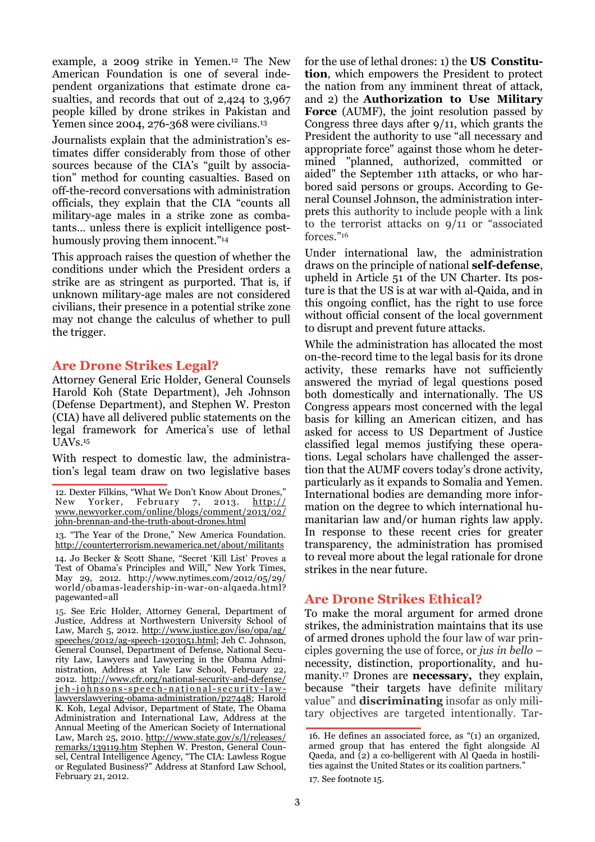example, a 2009 strike in Yemen.12 The New American Foundation is one of several independent organizations that estimate drone casualties, and records that out of 2,424 to 3,967 people killed by drone strikes in Pakistan and Yemen since 2004, 276-368 were civilians.<sup>13</sup>

Journalists explain that the administration's estimates differ considerably from those of other sources because of the CIA's "guilt by association" method for counting casualties. Based on off-the-record conversations with administration officials, they explain that the CIA "counts all military-age males in a strike zone as combatants… unless there is explicit intelligence posthumously proving them innocent."<sup>14</sup>

This approach raises the question of whether the conditions under which the President orders a strike are as stringent as purported. That is, if unknown military-age males are not considered civilians, their presence in a potential strike zone may not change the calculus of whether to pull the trigger.

## **Are Drone Strikes Legal?**

Attorney General Eric Holder, General Counsels Harold Koh (State Department), Jeh Johnson (Defense Department), and Stephen W. Preston (CIA) have all delivered public statements on the legal framework for America's use of lethal UAVs.<sup>15</sup>

With respect to domestic law, the administration's legal team draw on two legislative bases

14. Jo Becker & Scott Shane, "Secret 'Kill List' Proves a Test of Obama's Principles and Will," New York Times, May 29, 2012. http://www.nytimes.com/2012/05/29/ world/obamas-leadership-in-war-on-alqaeda.html? pagewanted=all

15. See Eric Holder, Attorney General, Department of Justice, Address at Northwestern University School of Law, March 5, 2012. http://www.justice.gov/iso/opa/ag/ speeches/2012/ag-speech-1203051.html; Jeh C. Johnson, General Counsel, Department of Defense, National Security Law, Lawyers and Lawyering in the Obama Administration, Address at Yale Law School, February 22, 2012. http://www.cfr.org/national-security-and-defense/ <u>jeh-johnsons-speech-national-security-law-</u> lawyerslawyering-obama-administration/p27448; Harold K. Koh, Legal Advisor, Department of State, The Obama Administration and International Law, Address at the Annual Meeting of the American Society of International Law, March 25, 2010. http://www.state.gov/s/l/releases/ remarks/139119.htm Stephen W. Preston, General Counsel, Central Intelligence Agency, "The CIA: Lawless Rogue or Regulated Business?" Address at Stanford Law School, February 21, 2012.

for the use of lethal drones: 1) the **US Constitution**, which empowers the President to protect the nation from any imminent threat of attack, and 2) the **Authorization to Use Military Force** (AUMF), the joint resolution passed by Congress three days after 9/11, which grants the President the authority to use "all necessary and appropriate force" against those whom he determined "planned, authorized, committed or aided" the September 11th attacks, or who harbored said persons or groups. According to General Counsel Johnson, the administration interprets this authority to include people with a link to the terrorist attacks on 9/11 or "associated forces."<sup>16</sup>

Under international law, the administration draws on the principle of national **self-defense**, upheld in Article 51 of the UN Charter. Its posture is that the US is at war with al-Qaida, and in this ongoing conflict, has the right to use force without official consent of the local government to disrupt and prevent future attacks.

While the administration has allocated the most on-the-record time to the legal basis for its drone activity, these remarks have not sufficiently answered the myriad of legal questions posed both domestically and internationally. The US Congress appears most concerned with the legal basis for killing an American citizen, and has asked for access to US Department of Justice classified legal memos justifying these operations. Legal scholars have challenged the assertion that the AUMF covers today's drone activity, particularly as it expands to Somalia and Yemen. International bodies are demanding more information on the degree to which international humanitarian law and/or human rights law apply. In response to these recent cries for greater transparency, the administration has promised to reveal more about the legal rationale for drone strikes in the near future.

## **Are Drone Strikes Ethical?**

To make the moral argument for armed drone strikes, the administration maintains that its use of armed drones uphold the four law of war principles governing the use of force, or *jus in bello* – necessity, distinction, proportionality, and humanity.17 Drones are **necessary,** they explain, because "their targets have definite military value" and **discriminating** insofar as only military objectives are targeted intentionally. Tar-

17. See footnote 15.

<sup>12.</sup> Dexter Filkins, "What We Don't Know About Drones," New Yorker, February 7, 2013. http:// www.newyorker.com/online/blogs/comment/2013/02/ john-brennan-and-the-truth-about-drones.html

<sup>13. &</sup>quot;The Year of the Drone," New America Foundation. http://counterterrorism.newamerica.net/about/militants

<sup>16.</sup> He defines an associated force, as "(1) an organized, armed group that has entered the fight alongside Al Qaeda, and (2) a co-belligerent with Al Qaeda in hostilities against the United States or its coalition partners."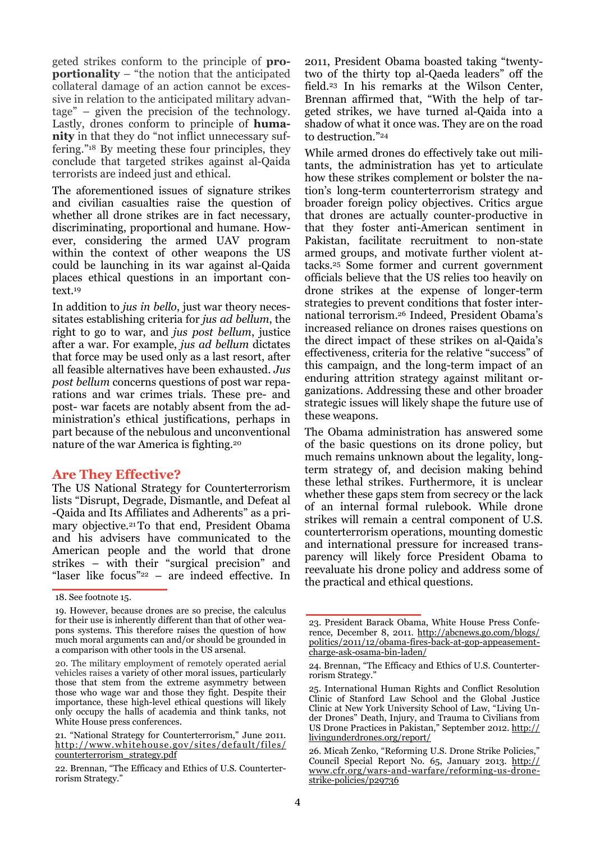geted strikes conform to the principle of **proportionality** – "the notion that the anticipated collateral damage of an action cannot be excessive in relation to the anticipated military advantage" – given the precision of the technology. Lastly, drones conform to principle of **humanity** in that they do "not inflict unnecessary suffering."18 By meeting these four principles, they conclude that targeted strikes against al-Qaida terrorists are indeed just and ethical.

The aforementioned issues of signature strikes and civilian casualties raise the question of whether all drone strikes are in fact necessary, discriminating, proportional and humane. However, considering the armed UAV program within the context of other weapons the US could be launching in its war against al-Qaida places ethical questions in an important context.<sup>19</sup>

In addition to *jus in bello*, just war theory necessitates establishing criteria for *jus ad bellum*, the right to go to war, and *jus post bellum*, justice after a war. For example, *jus ad bellum* dictates that force may be used only as a last resort, after all feasible alternatives have been exhausted. *Jus post bellum* concerns questions of post war reparations and war crimes trials. These pre- and post- war facets are notably absent from the administration's ethical justifications, perhaps in part because of the nebulous and unconventional nature of the war America is fighting.<sup>20</sup>

#### **Are They Effective?**

The US National Strategy for Counterterrorism lists "Disrupt, Degrade, Dismantle, and Defeat al -Qaida and Its Affiliates and Adherents" as a primary objective.21 To that end, President Obama and his advisers have communicated to the American people and the world that drone strikes – with their "surgical precision" and "laser like focus"22 – are indeed effective. In

2011, President Obama boasted taking "twentytwo of the thirty top al-Qaeda leaders" off the field.23 In his remarks at the Wilson Center, Brennan affirmed that, "With the help of targeted strikes, we have turned al-Qaida into a shadow of what it once was. They are on the road to destruction."<sup>24</sup>

While armed drones do effectively take out militants, the administration has yet to articulate how these strikes complement or bolster the nation's long-term counterterrorism strategy and broader foreign policy objectives. Critics argue that drones are actually counter-productive in that they foster anti-American sentiment in Pakistan, facilitate recruitment to non-state armed groups, and motivate further violent attacks.25 Some former and current government officials believe that the US relies too heavily on drone strikes at the expense of longer-term strategies to prevent conditions that foster international terrorism.26 Indeed, President Obama's increased reliance on drones raises questions on the direct impact of these strikes on al-Qaida's effectiveness, criteria for the relative "success" of this campaign, and the long-term impact of an enduring attrition strategy against militant organizations. Addressing these and other broader strategic issues will likely shape the future use of these weapons.

The Obama administration has answered some of the basic questions on its drone policy, but much remains unknown about the legality, longterm strategy of, and decision making behind these lethal strikes. Furthermore, it is unclear whether these gaps stem from secrecy or the lack of an internal formal rulebook. While drone strikes will remain a central component of U.S. counterterrorism operations, mounting domestic and international pressure for increased transparency will likely force President Obama to reevaluate his drone policy and address some of the practical and ethical questions.

<sup>18.</sup> See footnote 15.

<sup>19.</sup> However, because drones are so precise, the calculus for their use is inherently different than that of other weapons systems. This therefore raises the question of how much moral arguments can and/or should be grounded in a comparison with other tools in the US arsenal.

<sup>20.</sup> The military employment of remotely operated aerial vehicles raises a variety of other moral issues, particularly those that stem from the extreme asymmetry between those who wage war and those they fight. Despite their importance, these high-level ethical questions will likely only occupy the halls of academia and think tanks, not White House press conferences.

<sup>21. &</sup>quot;National Strategy for Counterterrorism," June 2011. http://www.whitehouse.gov/sites/default/files/ counterterrorism\_strategy.pdf

<sup>22.</sup> Brennan, "The Efficacy and Ethics of U.S. Counterterrorism Strategy."

<sup>23.</sup> President Barack Obama, White House Press Conference, December 8, 2011. http://abcnews.go.com/blogs/ politics/2011/12/obama-fires-back-at-gop-appeasementcharge-ask-osama-bin-laden/

<sup>24.</sup> Brennan, "The Efficacy and Ethics of U.S. Counterterrorism Strategy."

<sup>25.</sup> International Human Rights and Conflict Resolution Clinic of Stanford Law School and the Global Justice Clinic at New York University School of Law, "Living Under Drones" Death, Injury, and Trauma to Civilians from US Drone Practices in Pakistan," September 2012. http:// livingunderdrones.org/report/

<sup>26.</sup> Micah Zenko, "Reforming U.S. Drone Strike Policies," Council Special Report No. 65, January 2013. http:// www.cfr.org/wars-and-warfare/reforming-us-dronestrike-policies/p29736